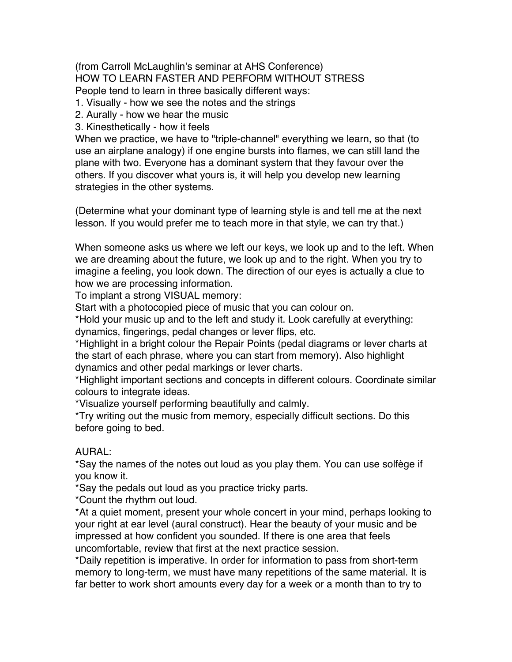(from Carroll McLaughlin's seminar at AHS Conference) HOW TO LEARN FASTER AND PERFORM WITHOUT STRESS People tend to learn in three basically different ways:

1. Visually - how we see the notes and the strings

2. Aurally - how we hear the music

3. Kinesthetically - how it feels

When we practice, we have to "triple-channel" everything we learn, so that (to use an airplane analogy) if one engine bursts into flames, we can still land the plane with two. Everyone has a dominant system that they favour over the others. If you discover what yours is, it will help you develop new learning strategies in the other systems.

(Determine what your dominant type of learning style is and tell me at the next lesson. If you would prefer me to teach more in that style, we can try that.)

When someone asks us where we left our keys, we look up and to the left. When we are dreaming about the future, we look up and to the right. When you try to imagine a feeling, you look down. The direction of our eyes is actually a clue to how we are processing information.

To implant a strong VISUAL memory:

Start with a photocopied piece of music that you can colour on.

\*Hold your music up and to the left and study it. Look carefully at everything: dynamics, fingerings, pedal changes or lever flips, etc.

\*Highlight in a bright colour the Repair Points (pedal diagrams or lever charts at the start of each phrase, where you can start from memory). Also highlight dynamics and other pedal markings or lever charts.

\*Highlight important sections and concepts in different colours. Coordinate similar colours to integrate ideas.

\*Visualize yourself performing beautifully and calmly.

\*Try writing out the music from memory, especially difficult sections. Do this before going to bed.

## AURAL:

\*Say the names of the notes out loud as you play them. You can use solfège if you know it.

\*Say the pedals out loud as you practice tricky parts.

\*Count the rhythm out loud.

\*At a quiet moment, present your whole concert in your mind, perhaps looking to your right at ear level (aural construct). Hear the beauty of your music and be impressed at how confident you sounded. If there is one area that feels uncomfortable, review that first at the next practice session.

\*Daily repetition is imperative. In order for information to pass from short-term memory to long-term, we must have many repetitions of the same material. It is far better to work short amounts every day for a week or a month than to try to